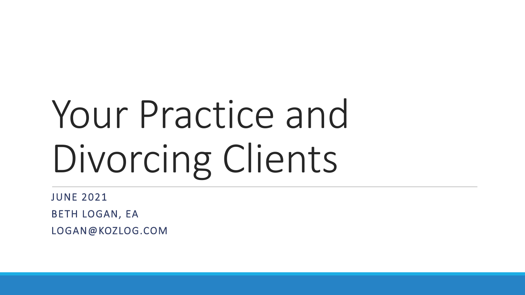# Your Practice and Divorcing Clients

JUNE 2021 BETH LOGAN, EA LOGAN@KOZLOG.COM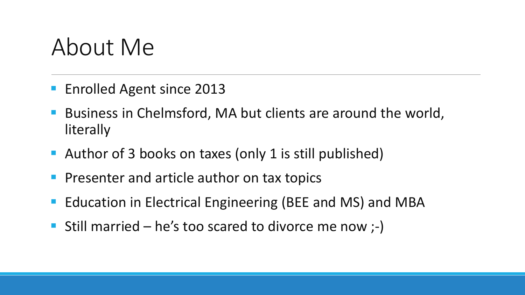### About Me

- **Enrolled Agent since 2013**
- Business in Chelmsford, MA but clients are around the world, literally
- Author of 3 books on taxes (only 1 is still published)
- **Presenter and article author on tax topics**
- **Example 20 Ferrical Engineering (BEE and MS) and MBA**
- Still married he's too scared to divorce me now  $;-$ )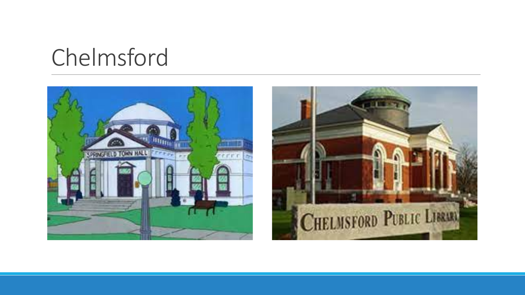# Chelmsford



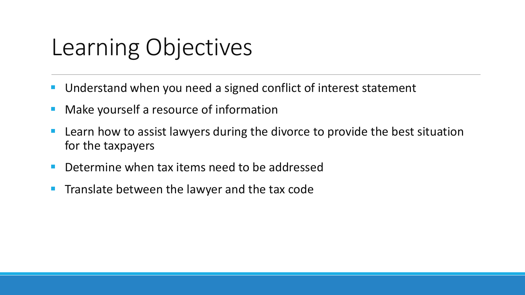# Learning Objectives

- Understand when you need a signed conflict of interest statement
- **Make yourself a resource of information**
- **Learn how to assist lawyers during the divorce to provide the best situation** for the taxpayers
- **Determine when tax items need to be addressed**
- **Translate between the lawyer and the tax code**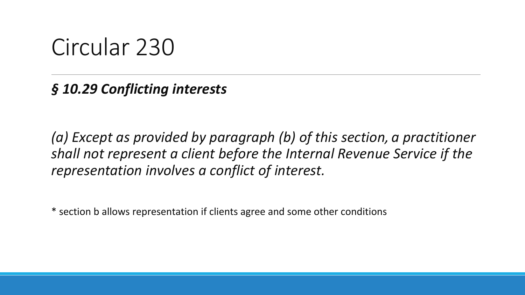#### Circular 230

*§ 10.29 Conflicting interests*

*(a) Except as provided by paragraph (b) of this section, a practitioner shall not represent a client before the Internal Revenue Service if the representation involves a conflict of interest.*

\* section b allows representation if clients agree and some other conditions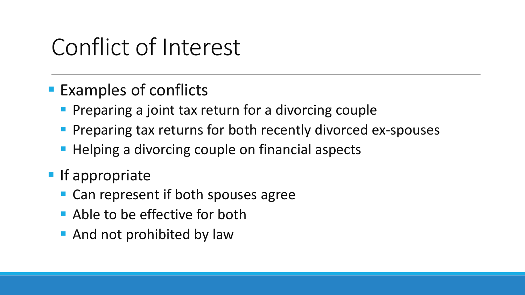# Conflict of Interest

- **Examples of conflicts** 
	- **Preparing a joint tax return for a divorcing couple**
	- **Preparing tax returns for both recently divorced ex-spouses**
	- **Helping a divorcing couple on financial aspects**
- **If appropriate** 
	- Can represent if both spouses agree
	- **Able to be effective for both**
	- **And not prohibited by law**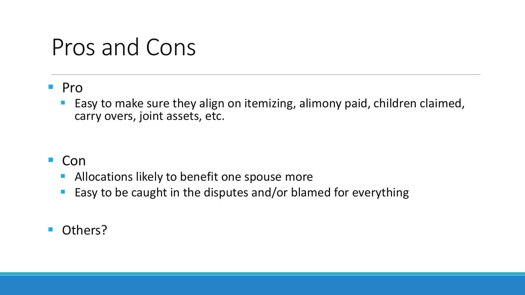### Pros and Cons

#### **Pro**

 Easy to make sure they align on itemizing, alimony paid, children claimed, carry overs, joint assets, etc.

- Con
	- **Allocations likely to benefit one spouse more**
	- **Easy to be caught in the disputes and/or blamed for everything**
- Others?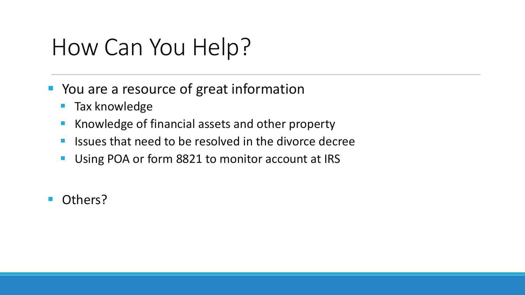# How Can You Help?

- **P** You are a resource of great information
	- **Tax knowledge**
	- Knowledge of financial assets and other property
	- **If** Issues that need to be resolved in the divorce decree
	- **Using POA or form 8821 to monitor account at IRS**
- **Others?**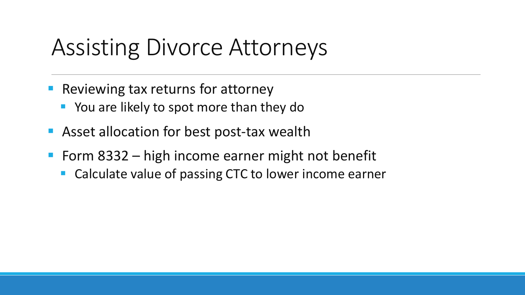### Assisting Divorce Attorneys

- Reviewing tax returns for attorney
	- **P** You are likely to spot more than they do
- **Asset allocation for best post-tax wealth**
- Form  $8332 h$  igh income earner might not benefit
	- Calculate value of passing CTC to lower income earner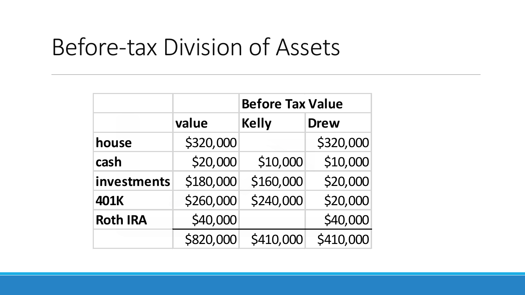### Before-tax Division of Assets

|                 |           | <b>Before Tax Value</b> |             |  |
|-----------------|-----------|-------------------------|-------------|--|
|                 | value     | <b>Kelly</b>            | <b>Drew</b> |  |
| house           | \$320,000 |                         | \$320,000   |  |
| cash            | \$20,000  | \$10,000                | \$10,000    |  |
| investments     | \$180,000 | \$160,000               | \$20,000    |  |
| <b>401K</b>     | \$260,000 | \$240,000               | \$20,000    |  |
| <b>Roth IRA</b> | \$40,000  |                         | \$40,000    |  |
|                 | \$820,000 | \$410,000               | \$410,000   |  |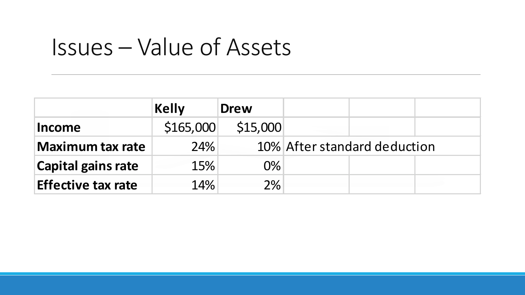# Issues – Value of Assets

|                           | Kelly     | <b>Drew</b> |                              |  |  |
|---------------------------|-----------|-------------|------------------------------|--|--|
| Income                    | \$165,000 | \$15,000    |                              |  |  |
| <b>Maximum tax rate</b>   | 24%       |             | 10% After standard deduction |  |  |
| <b>Capital gains rate</b> | 15%       | $0\%$       |                              |  |  |
| <b>Effective tax rate</b> | 14%       | $2\%$       |                              |  |  |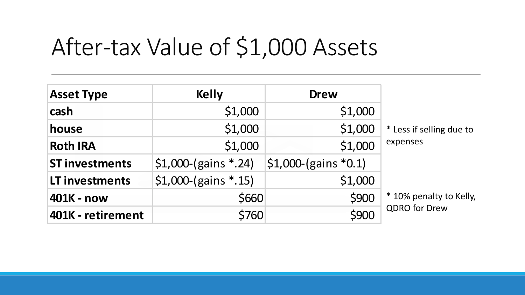# After-tax Value of \$1,000 Assets

| <b>Asset Type</b>     | <b>Kelly</b>           | <b>Drew</b>                  |                          |
|-----------------------|------------------------|------------------------------|--------------------------|
| cash                  | \$1,000                | \$1,000                      |                          |
| house                 | \$1,000                | \$1,000                      | * Less if selling due to |
| <b>Roth IRA</b>       | \$1,000                | \$1,000                      | expenses                 |
| <b>ST investments</b> | $$1,000-(gains * .24)$ | $\vert$ \$1,000-(gains *0.1) |                          |
| LT investments        | $$1,000$ -(gains *.15) | \$1,000                      |                          |
| 401K - now            | \$660                  | \$900                        | * 10% penalty to Kelly,  |
| 401K - retirement     | \$760                  | \$900                        | <b>QDRO</b> for Drew     |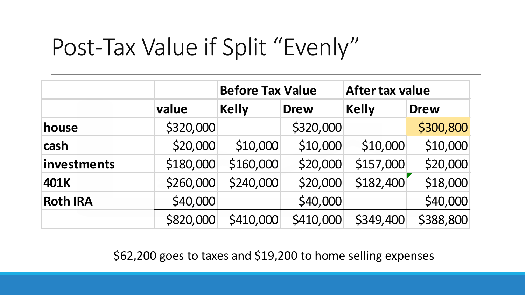# Post-Tax Value if Split "Evenly"

|                 |           | <b>Before Tax Value</b> |             | <b>After tax value</b> |             |
|-----------------|-----------|-------------------------|-------------|------------------------|-------------|
|                 | value     | <b>Kelly</b>            | <b>Drew</b> | <b>Kelly</b>           | <b>Drew</b> |
| house           | \$320,000 |                         | \$320,000   |                        | \$300,800   |
| cash            | \$20,000  | \$10,000                | \$10,000    | \$10,000               | \$10,000    |
| investments     | \$180,000 | \$160,000               | \$20,000    | \$157,000              | \$20,000    |
| <b>401K</b>     | \$260,000 | \$240,000               | \$20,000    | \$182,400              | \$18,000    |
| <b>Roth IRA</b> | \$40,000  |                         | \$40,000    |                        | \$40,000    |
|                 | \$820,000 | \$410,000               | \$410,000   | \$349,400              | \$388,800   |

\$62,200 goes to taxes and \$19,200 to home selling expenses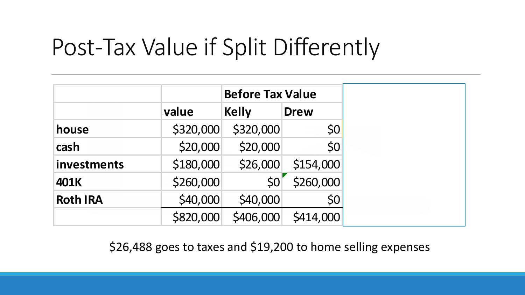# Post-Tax Value if Split Differently

|                 |           | <b>Before Tax Value</b> |             |
|-----------------|-----------|-------------------------|-------------|
|                 | value     | <b>Kelly</b>            | <b>Drew</b> |
| house           | \$320,000 | \$320,000               | 50          |
| cash            | \$20,000  | \$20,000                | \$0         |
| investments     | \$180,000 | \$26,000                | \$154,000   |
| 401K            | \$260,000 | \$0                     | \$260,000   |
| <b>Roth IRA</b> | \$40,000  | \$40,000                | \$0         |
|                 | \$820,000 | \$406,000               | \$414,000   |

\$26,488 goes to taxes and \$19,200 to home selling expenses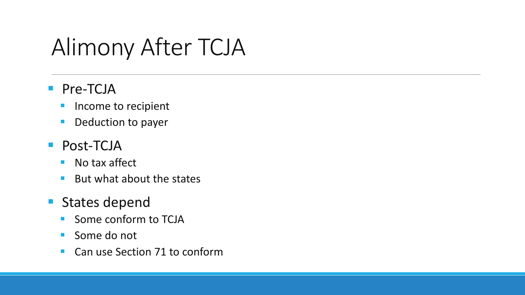# Alimony After TCJA

#### **Pre-TCJA**

- **Income to recipient**
- **Deduction to payer**

#### **Post-TCJA**

- No tax affect
- $\blacksquare$  But what about the states

#### **States depend**

- **Some conform to TCJA**
- Some do not
- Can use Section 71 to conform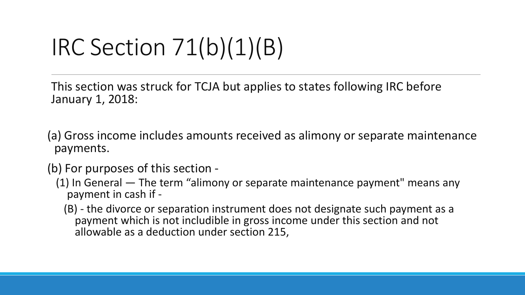# IRC Section 71(b)(1)(B)

This section was struck for TCJA but applies to states following IRC before January 1, 2018:

- (a) Gross income includes amounts received as alimony or separate maintenance payments.
- (b) For purposes of this section
	- (1) In General The term "alimony or separate maintenance payment" means any payment in cash if -
		- (B) the divorce or separation instrument does not designate such payment as a payment which is not includible in gross income under this section and not allowable as a deduction under section 215,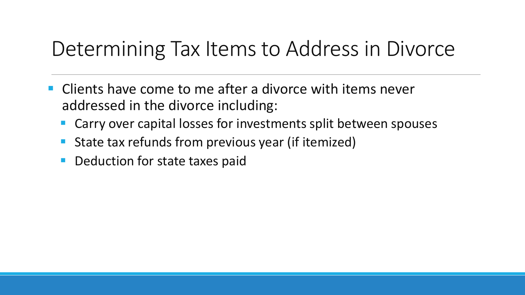#### Determining Tax Items to Address in Divorce

- **EXT** Clients have come to me after a divorce with items never addressed in the divorce including:
	- Carry over capital losses for investments split between spouses
	- State tax refunds from previous year (if itemized)
	- Deduction for state taxes paid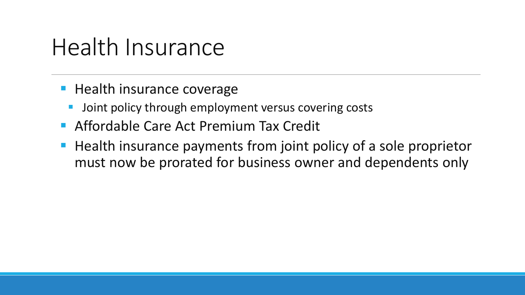### Health Insurance

- **Health insurance coverage** 
	- Joint policy through employment versus covering costs
- **Affordable Care Act Premium Tax Credit**
- **Health insurance payments from joint policy of a sole proprietor** must now be prorated for business owner and dependents only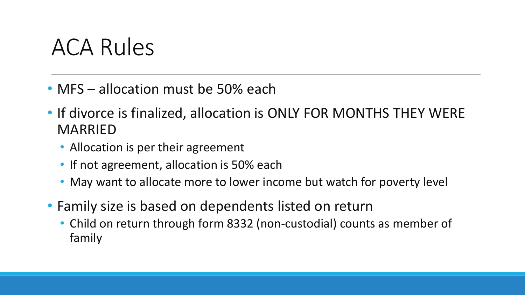## ACA Rules

- MFS allocation must be 50% each
- If divorce is finalized, allocation is ONLY FOR MONTHS THEY WERE MARRIED
	- Allocation is per their agreement
	- If not agreement, allocation is 50% each
	- May want to allocate more to lower income but watch for poverty level
- Family size is based on dependents listed on return
	- Child on return through form 8332 (non-custodial) counts as member of family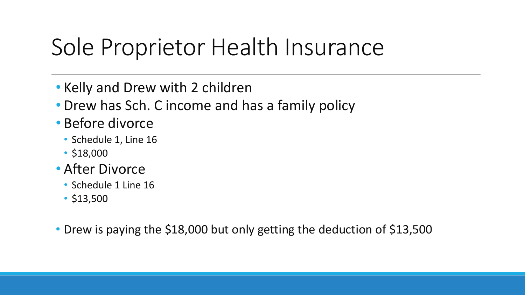# Sole Proprietor Health Insurance

- Kelly and Drew with 2 children
- Drew has Sch. C income and has a family policy
- Before divorce
	- Schedule 1, Line 16
	- \$18,000
- After Divorce
	- Schedule 1 Line 16
	- \$13,500
- Drew is paying the \$18,000 but only getting the deduction of \$13,500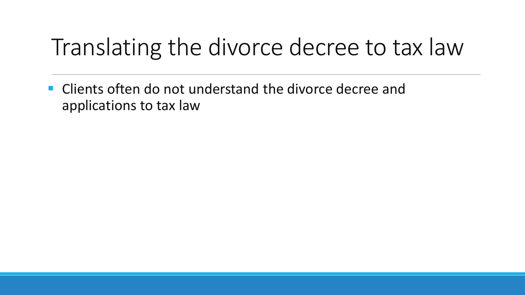# Translating the divorce decree to tax law

**E** Clients often do not understand the divorce decree and applications to tax law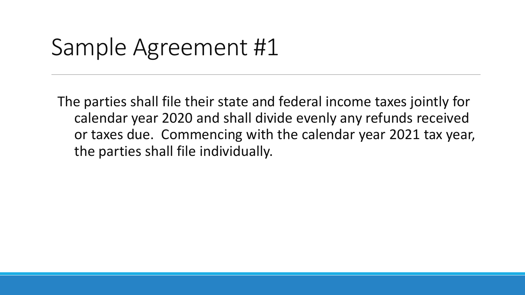### Sample Agreement #1

The parties shall file their state and federal income taxes jointly for calendar year 2020 and shall divide evenly any refunds received or taxes due. Commencing with the calendar year 2021 tax year, the parties shall file individually.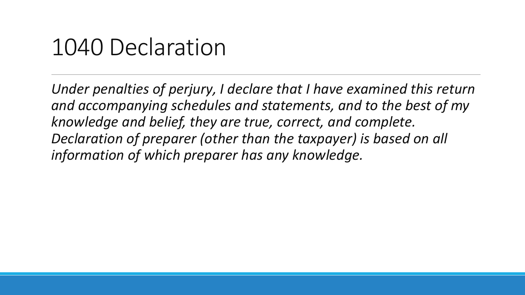#### 1040 Declaration

*Under penalties of perjury, I declare that I have examined this return and accompanying schedules and statements, and to the best of my knowledge and belief, they are true, correct, and complete. Declaration of preparer (other than the taxpayer) is based on all information of which preparer has any knowledge.*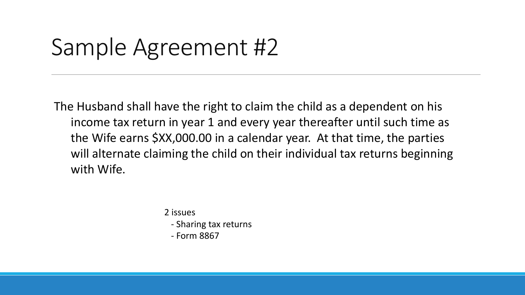# Sample Agreement #2

The Husband shall have the right to claim the child as a dependent on his income tax return in year 1 and every year thereafter until such time as the Wife earns \$XX,000.00 in a calendar year. At that time, the parties will alternate claiming the child on their individual tax returns beginning with Wife.

2 issues

- Sharing tax returns
- Form 8867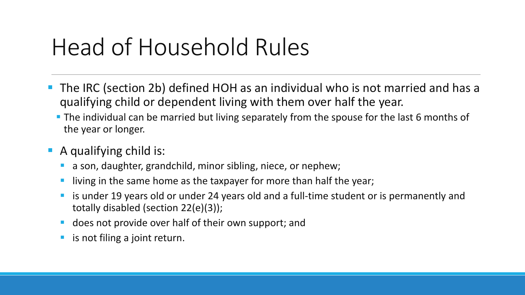# Head of Household Rules

- The IRC (section 2b) defined HOH as an individual who is not married and has a qualifying child or dependent living with them over half the year.
	- **The individual can be married but living separately from the spouse for the last 6 months of** the year or longer.
- **A** qualifying child is:
	- a son, daughter, grandchild, minor sibling, niece, or nephew;
	- **I** living in the same home as the taxpayer for more than half the year;
	- **E** is under 19 years old or under 24 years old and a full-time student or is permanently and totally disabled (section 22(e)(3));
	- **does not provide over half of their own support; and**
	- **E** is not filing a joint return.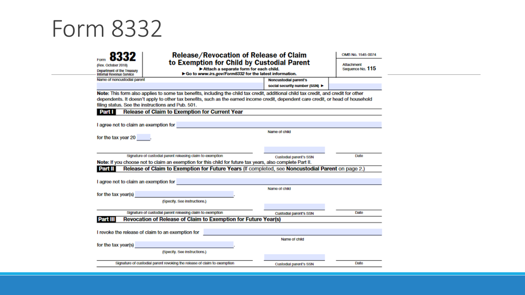#### Form 8332

| (Rev. October 2018)                                    | <b>Release/Revocation of Release of Claim</b><br>to Exemption for Child by Custodial Parent                                          |                                |      |  |  |  |
|--------------------------------------------------------|--------------------------------------------------------------------------------------------------------------------------------------|--------------------------------|------|--|--|--|
| Department of the Treasury<br>Internal Revenue Service | Attach a separate form for each child.<br>Go to www.irs.gov/Form8332 for the latest information.                                     | Sequence No. 115               |      |  |  |  |
| Name of noncustodial parent                            |                                                                                                                                      | Noncustodial parent's          |      |  |  |  |
|                                                        |                                                                                                                                      | social security number (SSN) ▶ |      |  |  |  |
|                                                        | Note: This form also applies to some tax benefits, including the child tax credit, additional child tax credit, and credit for other |                                |      |  |  |  |
|                                                        | dependents. It doesn't apply to other tax benefits, such as the earned income credit, dependent care credit, or head of household    |                                |      |  |  |  |
|                                                        | filing status. See the instructions and Pub. 501.                                                                                    |                                |      |  |  |  |
| Part I                                                 | <b>Release of Claim to Exemption for Current Year</b>                                                                                |                                |      |  |  |  |
|                                                        |                                                                                                                                      |                                |      |  |  |  |
| I agree not to claim an exemption for                  |                                                                                                                                      |                                |      |  |  |  |
|                                                        |                                                                                                                                      | Name of child                  |      |  |  |  |
| for the tax year 20                                    |                                                                                                                                      |                                |      |  |  |  |
|                                                        |                                                                                                                                      |                                |      |  |  |  |
|                                                        |                                                                                                                                      |                                |      |  |  |  |
|                                                        | Signature of custodial parent releasing claim to exemption                                                                           | <b>Custodial parent's SSN</b>  | Date |  |  |  |
|                                                        | Note: If you choose not to claim an exemption for this child for future tax years, also complete Part II.                            |                                |      |  |  |  |
| Part II                                                | Release of Claim to Exemption for Future Years (If completed, see Noncustodial Parent on page 2.)                                    |                                |      |  |  |  |
|                                                        |                                                                                                                                      |                                |      |  |  |  |
|                                                        | I agree not to claim an exemption for the control of the control of the control of the control of the control of                     |                                |      |  |  |  |
|                                                        |                                                                                                                                      | Name of child                  |      |  |  |  |
| for the tax year(s)                                    |                                                                                                                                      |                                |      |  |  |  |
|                                                        | (Specify, See instructions.)                                                                                                         |                                |      |  |  |  |
|                                                        |                                                                                                                                      |                                |      |  |  |  |
|                                                        | Signature of custodial parent releasing claim to exemption                                                                           | Custodial parent's SSN         | Date |  |  |  |
| Part III                                               | Revocation of Release of Claim to Exemption for Future Year(s)                                                                       |                                |      |  |  |  |
|                                                        |                                                                                                                                      |                                |      |  |  |  |
|                                                        | I revoke the release of claim to an exemption for                                                                                    |                                |      |  |  |  |
|                                                        |                                                                                                                                      | Name of child                  |      |  |  |  |
|                                                        | for the tax year(s) <b>Exercise 2008</b>                                                                                             |                                |      |  |  |  |
|                                                        | (Specify, See instructions.)                                                                                                         |                                |      |  |  |  |
|                                                        |                                                                                                                                      |                                |      |  |  |  |
|                                                        | Signature of custodial parent revoking the release of claim to exemption                                                             | <b>Custodial parent's SSN</b>  | Date |  |  |  |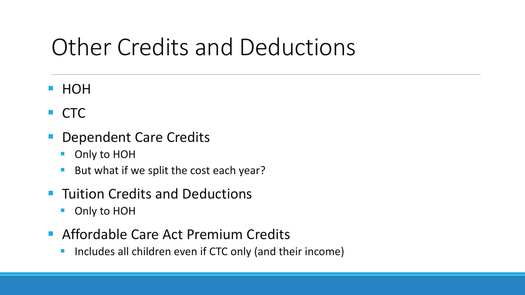# Other Credits and Deductions

- **HOH**
- **CTC**
- Dependent Care Credits
	- Only to HOH
	- But what if we split the cost each year?
- **Tuition Credits and Deductions** 
	- Only to HOH
- **Affordable Care Act Premium Credits** 
	- **Includes all children even if CTC only (and their income)**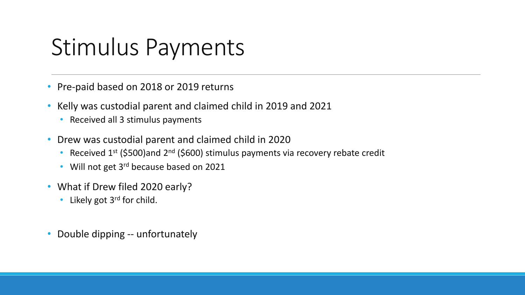## Stimulus Payments

- Pre-paid based on 2018 or 2019 returns
- Kelly was custodial parent and claimed child in 2019 and 2021
	- Received all 3 stimulus payments
- Drew was custodial parent and claimed child in 2020
	- Received  $1^{st}$  (\$500)and  $2^{nd}$  (\$600) stimulus payments via recovery rebate credit
	- Will not get 3<sup>rd</sup> because based on 2021
- What if Drew filed 2020 early?
	- Likely got 3<sup>rd</sup> for child.
- Double dipping -- unfortunately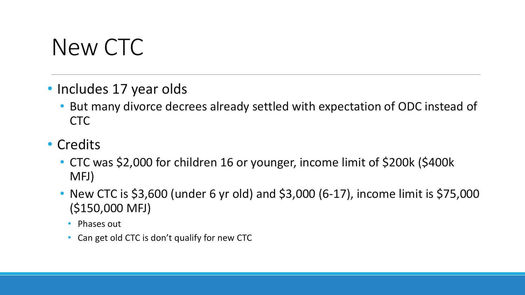# New CTC

- Includes 17 year olds
	- But many divorce decrees already settled with expectation of ODC instead of CTC
- Credits
	- CTC was \$2,000 for children 16 or younger, income limit of \$200k (\$400k MFJ)
	- New CTC is \$3,600 (under 6 yr old) and \$3,000 (6-17), income limit is \$75,000 (\$150,000 MFJ)
		- Phases out
		- Can get old CTC is don't qualify for new CTC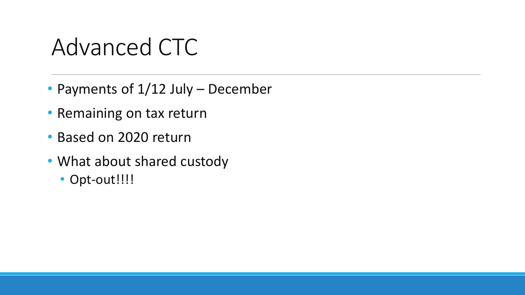# Advanced CTC

- Payments of 1/12 July December
- Remaining on tax return
- Based on 2020 return
- What about shared custody
	- Opt-out!!!!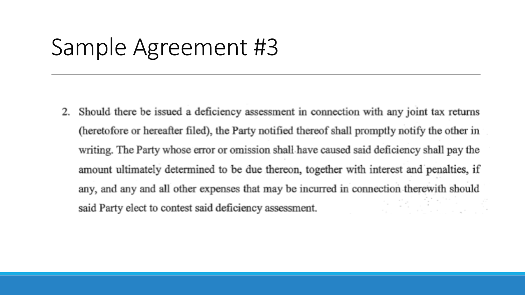### Sample Agreement #3

Should there be issued a deficiency assessment in connection with any joint tax returns 2. (heretofore or hereafter filed), the Party notified thereof shall promptly notify the other in writing. The Party whose error or omission shall have caused said deficiency shall pay the amount ultimately determined to be due thereon, together with interest and penalties, if any, and any and all other expenses that may be incurred in connection therewith should 어떤 없이다. said Party elect to contest said deficiency assessment.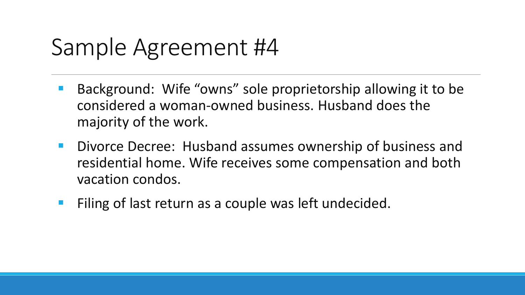## Sample Agreement #4

- Background: Wife "owns" sole proprietorship allowing it to be considered a woman-owned business. Husband does the majority of the work.
- **Divorce Decree: Husband assumes ownership of business and** residential home. Wife receives some compensation and both vacation condos.
- **Filing of last return as a couple was left undecided.**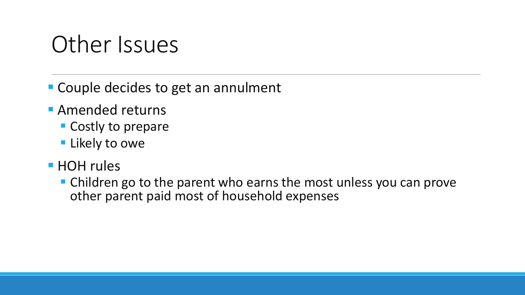### Other Issues

■ Couple decides to get an annulment

- **Amended returns** 
	- **Costly to prepare**
	- **Likely to owe**
- **HOH** rules
	- Children go to the parent who earns the most unless you can prove other parent paid most of household expenses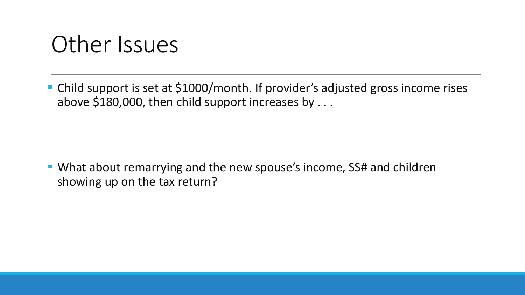#### Other Issues

■ Child support is set at \$1000/month. If provider's adjusted gross income rises above \$180,000, then child support increases by . . .

■ What about remarrying and the new spouse's income, SS# and children showing up on the tax return?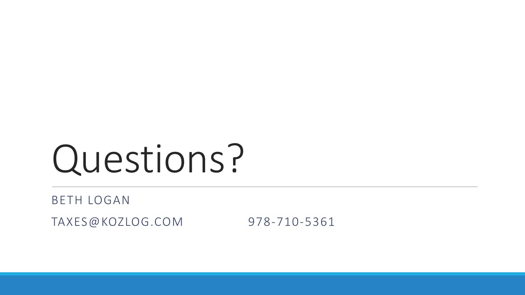# Questions?

#### BETH LOGAN

TAXES@KOZLOG.COM 978-710-5361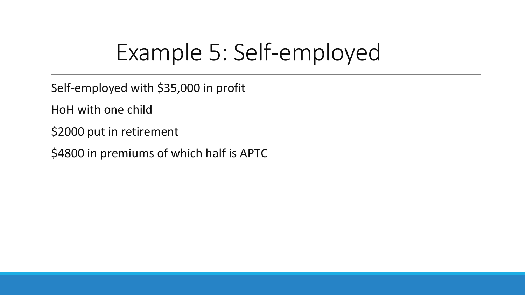# Example 5: Self-employed

Self-employed with \$35,000 in profit

HoH with one child

\$2000 put in retirement

\$4800 in premiums of which half is APTC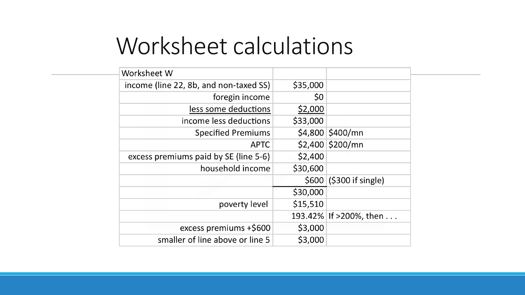## Worksheet calculations

| Worksheet W                            |          |                         |
|----------------------------------------|----------|-------------------------|
| income (line 22, 8b, and non-taxed SS) | \$35,000 |                         |
| foregin income                         | \$0      |                         |
| less some deductions                   | \$2,000  |                         |
| income less deductions                 | \$33,000 |                         |
| <b>Specified Premiums</b>              |          | \$4,800 \$400/mn        |
| <b>APTC</b>                            |          | \$2,400 \$200/mn        |
| excess premiums paid by SE (line 5-6)  | \$2,400  |                         |
| household income                       | \$30,600 |                         |
|                                        |          | \$600 (\$300 if single) |
|                                        | \$30,000 |                         |
| poverty level                          | \$15,510 |                         |
|                                        |          | 193.42% If >200%, then  |
| excess premiums +\$600                 | \$3,000  |                         |
| smaller of line above or line 5        | \$3,000  |                         |
|                                        |          |                         |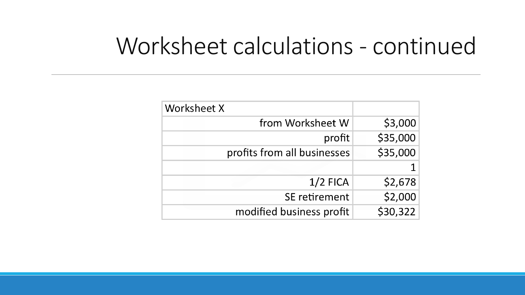#### Worksheet calculations - continued

| Worksheet X                 |          |
|-----------------------------|----------|
| from Worksheet W            | \$3,000  |
| profit                      | \$35,000 |
| profits from all businesses | \$35,000 |
|                             |          |
| $1/2$ FICA                  | \$2,678  |
| SE retirement               | \$2,000  |
| modified business profit    | \$30,322 |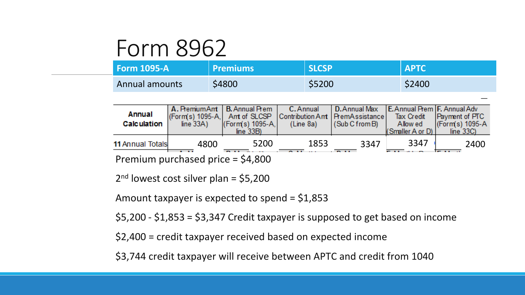#### Form 8962

| $\blacksquare$ Form 1095-A | <b>Premiums</b> | <b>SLCSP</b> | <b>APTC</b> |
|----------------------------|-----------------|--------------|-------------|
| Annual amounts             | \$4800          | \$5200       | \$2400      |

| <b>Annual</b><br><b>Calculation</b>       | line $33A$ ) | line $33B$ )                    |      | A. Premium Ant   B. Annual Prem   C. Annual   D. Annual Max   E. Annual Prem   F. Annual Adv<br>(Form(s) 1095-A, Amt of SLCSP Contribution Amt   PremAssistance   Tax Credit   Payment of PTC<br>  Form(s) 1095-A,   (Line 8a)   (Sub C from B)   Allowed   (Form(s) 1095-A | (Smaller A or D) | line 33C |
|-------------------------------------------|--------------|---------------------------------|------|-----------------------------------------------------------------------------------------------------------------------------------------------------------------------------------------------------------------------------------------------------------------------------|------------------|----------|
| <b>11 Annual Totals</b><br>$\blacksquare$ | 4800         | 5200<br>$\mathbf{A} \mathbf{A}$ | 1853 | 3347<br>$\sim$ 1.4 $\sim$                                                                                                                                                                                                                                                   | 3347             | 2400     |

Premium purchased price = \$4,800

 $2<sup>nd</sup>$  lowest cost silver plan = \$5,200

Amount taxpayer is expected to spend = \$1,853

\$5,200 - \$1,853 = \$3,347 Credit taxpayer is supposed to get based on income

\$2,400 = credit taxpayer received based on expected income

\$3,744 credit taxpayer will receive between APTC and credit from 1040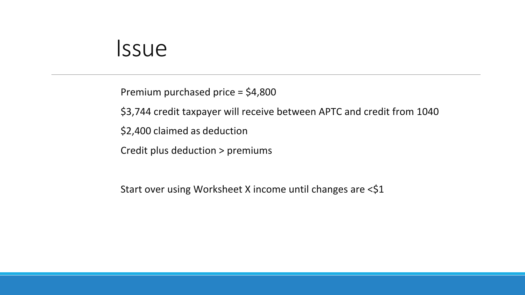#### Issue

Premium purchased price = \$4,800

\$3,744 credit taxpayer will receive between APTC and credit from 1040

\$2,400 claimed as deduction

Credit plus deduction > premiums

Start over using Worksheet X income until changes are <\$1